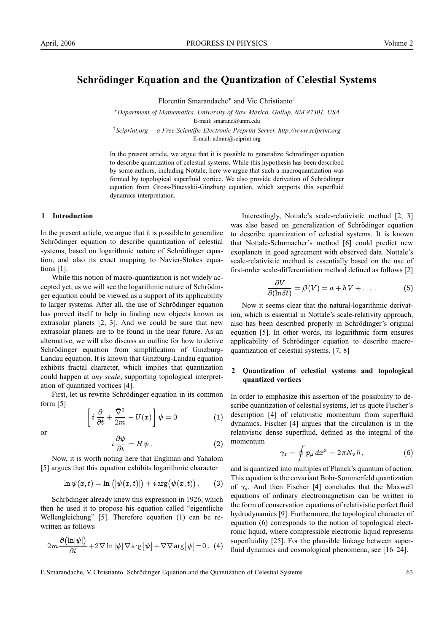# **Schrödinger Equation and the Quantization of Celestial Systems**

Florentin Smarandache∗ and Vic Christianto†

<sup>∗</sup>*Department of Mathematics, University of New Mexico, Gallup, NM 87301, USA* E-mail: smarand@unm.edu

† *Sciprint.org — a Free Scientific Electronic Preprint Server, http://www.sciprint.org* E-mail: admin@sciprint.org

In the present article, we argue that it is possible to generalize Schrödinger equation to describe quantization of celestial systems. While this hypothesis has been described by some authors, including Nottale, here we argue that such a macroquantization was formed by topological superfluid vortice. We also provide derivation of Schrödinger equation from Gross-Pitaevskii-Ginzburg equation, which supports this superfluid dynamics interpretation.

#### **1 Introduction**

In the present article, we argue that it is possible to generalize Schrödinger equation to describe quantization of celestial systems, based on logarithmic nature of Schrödinger equation, and also its exact mapping to Navier-Stokes equations [1].

While this notion of macro-quantization is not widely accepted yet, as we will see the logarithmic nature of Schrödinger equation could be viewed as a support of its applicability to larger systems. After all, the use of Schrödinger equation has proved itself to help in finding new objects known as extrasolar planets [2, 3]. And we could be sure that new extrasolar planets are to be found in the near future. As an alternative, we will also discuss an outline for how to derive Schrödinger equation from simplification of Ginzburg-Landau equation. It is known that Ginzburg-Landau equation exhibits fractal character, which implies that quantization could happen at *any scale*, supporting topological interpretation of quantized vortices [4].

First, let us rewrite Schrödinger equation in its common form [5]  $\bar{\nabla}^2$ 

 $\frac{v}{2m} - U(x)$ 

 $\left[i\,\frac{\partial}{\partial t}\,+\,\right]$ 

or

$$
i\frac{\partial\psi}{\partial t} = H\psi.
$$
 (2)

 $\psi = 0 \qquad \qquad (1)$ 

1

Now, it is worth noting here that Englman and Yahalom [5] argues that this equation exhibits logarithmic character

$$
\ln\psi(x,t)=\ln\big(|\psi(x,t)|\big)+i\arg\bigl(\psi(x,t)\bigr)\,.\qquad (3)
$$

Schrödinger already knew this expression in 1926, which then he used it to propose his equation called "eigentliche Wellengleichung" [5]. Therefore equation (1) can be rewritten as follows

$$
2m\frac{\partial\big(\text{ln}|\psi|\big)}{\partial t}+2\bar{\nabla}\ln|\psi|\,\bar{\nabla}\arg\big[\psi\big]+\bar{\nabla}\bar{\nabla}\arg\big[\psi\big]{=}0\,.\ \, (4)
$$

Interestingly, Nottale's scale-relativistic method [2, 3] was also based on generalization of Schrödinger equation to describe quantization of celestial systems. It is known that Nottale-Schumacher's method [6] could predict new exoplanets in good agreement with observed data. Nottale's scale-relativistic method is essentially based on the use of first-order scale-differentiation method defined as follows [2]

$$
\frac{\partial V}{\partial (\ln \delta t)} = \beta(V) = a + bV + \dots \qquad (5)
$$

Now it seems clear that the natural-logarithmic derivation, which is essential in Nottale's scale-relativity approach, also has been described properly in Schrödinger's original equation [5]. In other words, its logarithmic form ensures applicability of Schrödinger equation to describe macroquantization of celestial systems. [7, 8]

# **2 Quantization of celestial systems and topological quantized vortices**

In order to emphasize this assertion of the possibility to describe quantization of celestial systems, let us quote Fischer's description [4] of relativistic momentum from superfluid dynamics. Fischer [4] argues that the circulation is in the relativistic dense superfluid, defined as the integral of the momentum

$$
\gamma_s = \oint p_\mu \, dx^\mu = 2\pi N_v \,\hbar \,, \tag{6}
$$

and is quantized into multiples of Planck's quantum of action. This equation is the covariant Bohr-Sommerfeld quantization of  $\gamma_s$ . And then Fischer [4] concludes that the Maxwell equations of ordinary electromagnetism can be written in the form of conservation equations of relativistic perfect fluid hydrodynamics [9]. Furthermore, the topological character of equation (6) corresponds to the notion of topological electronic liquid, where compressible electronic liquid represents superfluidity [25]. For the plausible linkage between superfluid dynamics and cosmological phenomena, see [16–24].

F. Smarandache, V. Christianto. Schrödinger Equation and the Quantization of Celestial Systems 63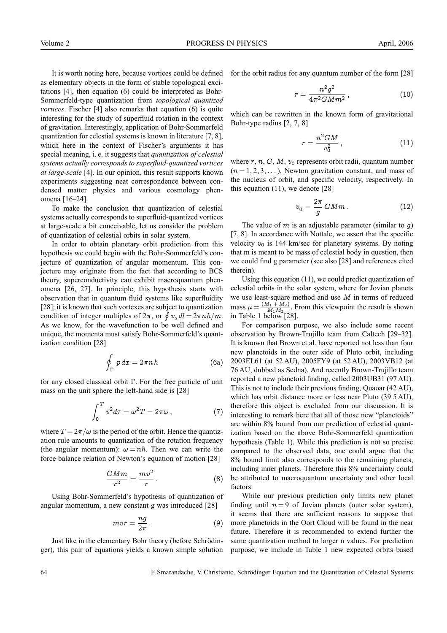It is worth noting here, because vortices could be defined as elementary objects in the form of stable topological excitations [4], then equation (6) could be interpreted as Bohr-Sommerfeld-type quantization from *topological quantized vortices*. Fischer [4] also remarks that equation (6) is quite interesting for the study of superfluid rotation in the context of gravitation. Interestingly, application of Bohr-Sommerfeld quantization for celestial systems is known in literature [7, 8], which here in the context of Fischer's arguments it has special meaning, i. e. it suggests that *quantization of celestial systems actually corresponds to superfluid-quantized vortices at large-scale* [4]. In our opinion, this result supports known experiments suggesting neat correspondence between condensed matter physics and various cosmology phenomena [16–24].

To make the conclusion that quantization of celestial systems actually corresponds to superfluid-quantized vortices at large-scale a bit conceivable, let us consider the problem of quantization of celestial orbits in solar system.

In order to obtain planetary orbit prediction from this hypothesis we could begin with the Bohr-Sommerfeld's conjecture of quantization of angular momentum. This conjecture may originate from the fact that according to BCS theory, superconductivity can exhibit macroquantum phenomena [26, 27]. In principle, this hypothesis starts with observation that in quantum fluid systems like superfluidity [28]; it is known that such vortexes are subject to quantization condition of integer multiples of  $2\pi$ , or  $\oint v_s dl = 2\pi n\hbar/m$ . As we know, for the wavefunction to be well defined and unique, the momenta must satisfy Bohr-Sommerfeld's quantization condition [28]

$$
\oint_{\Gamma} p \, dx = 2\pi n \hbar \tag{6a}
$$

for any closed classical orbit Γ. For the free particle of unit mass on the unit sphere the left-hand side is [28]

$$
\int_0^T v^2 d\tau = \omega^2 T = 2\pi\omega \,, \tag{7}
$$

where  $T = 2\pi/\omega$  is the period of the orbit. Hence the quantization rule amounts to quantization of the rotation frequency (the angular momentum):  $\omega = n\hbar$ . Then we can write the force balance relation of Newton's equation of motion [28]

$$
\frac{GMm}{r^2} = \frac{mv^2}{r} \,.
$$
 (8)

Using Bohr-Sommerfeld's hypothesis of quantization of angular momentum, a new constant g was introduced [28]

$$
mvr = \frac{ng}{2\pi} \,. \tag{9}
$$

Just like in the elementary Bohr theory (before Schrödinger), this pair of equations yields a known simple solution for the orbit radius for any quantum number of the form [28]

$$
r=\frac{n^2g^2}{4\pi^2GMm^2}\,,\qquad \qquad (10)
$$

which can be rewritten in the known form of gravitational Bohr-type radius [2, 7, 8]

$$
r = \frac{n^2 GM}{v_0^2} \,, \tag{11}
$$

where  $r, n, G, M, v_0$  represents orbit radii, quantum number  $(n = 1, 2, 3, \dots)$ , Newton gravitation constant, and mass of the nucleus of orbit, and specific velocity, respectively. In this equation (11), we denote [28]

$$
v_0 = \frac{2\pi}{g} \, GMm \,. \tag{12}
$$

The value of  $m$  is an adjustable parameter (similar to  $q$ ) [7, 8]. In accordance with Nottale, we assert that the specific velocity  $v_0$  is 144 km/sec for planetary systems. By noting that m is meant to be mass of celestial body in question, then we could find g parameter (see also [28] and references cited therein).

Using this equation (11), we could predict quantization of celestial orbits in the solar system, where for Jovian planets we use least-square method and use M in terms of reduced mass  $\mu = \frac{(M_1 + M_2)}{M_1 M_2}$ . From this viewpoint the result is shown in Table 1 below [28].

For comparison purpose, we also include some recent observation by Brown-Trujillo team from Caltech [29–32]. It is known that Brown et al. have reported not less than four new planetoids in the outer side of Pluto orbit, including 2003EL61 (at 52 AU), 2005FY9 (at 52 AU), 2003VB12 (at 76 AU, dubbed as Sedna). And recently Brown-Trujillo team reported a new planetoid finding, called 2003UB31 (97 AU). This is not to include their previous finding, Quaoar (42 AU), which has orbit distance more or less near Pluto (39.5 AU), therefore this object is excluded from our discussion. It is interesting to remark here that all of those new "planetoids" are within 8% bound from our prediction of celestial quantization based on the above Bohr-Sommerfeld quantization hypothesis (Table 1). While this prediction is not so precise compared to the observed data, one could argue that the 8% bound limit also corresponds to the remaining planets, including inner planets. Therefore this 8% uncertainty could be attributed to macroquantum uncertainty and other local factors.

While our previous prediction only limits new planet finding until  $n = 9$  of Jovian planets (outer solar system), it seems that there are sufficient reasons to suppose that more planetoids in the Oort Cloud will be found in the near future. Therefore it is recommended to extend further the same quantization method to larger n values. For prediction purpose, we include in Table 1 new expected orbits based

64 F. Smarandache, V. Christianto. Schrodinger Equation and the Quantization of Celestial Systems ¨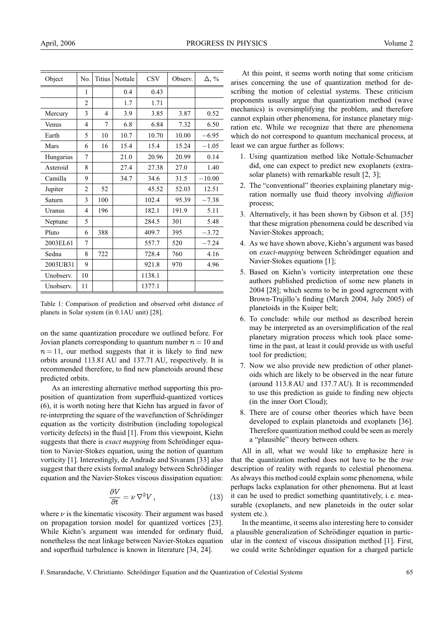| Object    | No.            | <b>Titius</b> | Nottale | <b>CSV</b> | Observ. | $\Delta, \%$ |
|-----------|----------------|---------------|---------|------------|---------|--------------|
|           | 1              |               | 0.4     | 0.43       |         |              |
|           | $\overline{2}$ |               | 1.7     | 1.71       |         |              |
| Mercury   | 3              | 4             | 3.9     | 3.85       | 3.87    | 0.52         |
| Venus     | 4              | 7             | 6.8     | 6.84       | 7.32    | 6.50         |
| Earth     | 5              | 10            | 10.7    | 10.70      | 10.00   | $-6.95$      |
| Mars      | 6              | 16            | 15.4    | 15.4       | 15.24   | $-1.05$      |
| Hungarias | 7              |               | 21.0    | 20.96      | 20.99   | 0.14         |
| Asteroid  | 8              |               | 27.4    | 27.38      | 27.0    | 1.40         |
| Camilla   | 9              |               | 34.7    | 34.6       | 31.5    | $-10.00$     |
| Jupiter   | 2              | 52            |         | 45.52      | 52.03   | 12.51        |
| Saturn    | 3              | 100           |         | 102.4      | 95.39   | $-7.38$      |
| Uranus    | $\overline{4}$ | 196           |         | 182.1      | 191.9   | 5.11         |
| Neptune   | 5              |               |         | 284.5      | 301     | 5.48         |
| Pluto     | 6              | 388           |         | 409.7      | 395     | $-3.72$      |
| 2003EL61  | 7              |               |         | 557.7      | 520     | $-7.24$      |
| Sedna     | 8              | 722           |         | 728.4      | 760     | 4.16         |
| 2003UB31  | 9              |               |         | 921.8      | 970     | 4.96         |
| Unobserv. | 10             |               |         | 1138.1     |         |              |
| Unobserv. | 11             |               |         | 1377.1     |         |              |

Table 1: Comparison of prediction and observed orbit distance of planets in Solar system (in 0.1AU unit) [28].

on the same quantization procedure we outlined before. For Jovian planets corresponding to quantum number  $n = 10$  and  $n = 11$ , our method suggests that it is likely to find new orbits around 113.81 AU and 137.71 AU, respectively. It is recommended therefore, to find new planetoids around these predicted orbits.

As an interesting alternative method supporting this proposition of quantization from superfluid-quantized vortices (6), it is worth noting here that Kiehn has argued in favor of re-interpreting the square of the wavefunction of Schrödinger equation as the vorticity distribution (including topological vorticity defects) in the fluid [1]. From this viewpoint, Kiehn suggests that there is *exact mapping* from Schrödinger equation to Navier-Stokes equation, using the notion of quantum vorticity [1]. Interestingly, de Andrade and Sivaram [33] also suggest that there exists formal analogy between Schrödinger equation and the Navier-Stokes viscous dissipation equation:

$$
\frac{\partial V}{\partial t} = \nu \nabla^2 V \,, \tag{13}
$$

where  $\nu$  is the kinematic viscosity. Their argument was based on propagation torsion model for quantized vortices [23]. While Kiehn's argument was intended for ordinary fluid, nonetheless the neat linkage between Navier-Stokes equation and superfluid turbulence is known in literature [34, 24].

At this point, it seems worth noting that some criticism arises concerning the use of quantization method for describing the motion of celestial systems. These criticism proponents usually argue that quantization method (wave mechanics) is oversimplifying the problem, and therefore cannot explain other phenomena, for instance planetary migration etc. While we recognize that there are phenomena which do not correspond to quantum mechanical process, at least we can argue further as follows:

- 1. Using quantization method like Nottale-Schumacher did, one can expect to predict new exoplanets (extrasolar planets) with remarkable result [2, 3];
- 2. The "conventional" theories explaining planetary migration normally use fluid theory involving *diffusion* process;
- 3. Alternatively, it has been shown by Gibson et al. [35] that these migration phenomena could be described via Navier-Stokes approach;
- 4. As we have shown above, Kiehn's argument was based on *exact-mapping* between Schrödinger equation and Navier-Stokes equations [1];
- 5. Based on Kiehn's vorticity interpretation one these authors published prediction of some new planets in 2004 [28]; which seems to be in good agreement with Brown-Trujillo's finding (March 2004, July 2005) of planetoids in the Kuiper belt;
- 6. To conclude: while our method as described herein may be interpreted as an oversimplification of the real planetary migration process which took place sometime in the past, at least it could provide us with useful tool for prediction;
- 7. Now we also provide new prediction of other planetoids which are likely to be observed in the near future (around 113.8 AU and 137.7 AU). It is recommended to use this prediction as guide to finding new objects (in the inner Oort Cloud);
- 8. There are of course other theories which have been developed to explain planetoids and exoplanets [36]. Therefore quantization method could be seen as merely a "plausible" theory between others.

All in all, what we would like to emphasize here is that the quantization method does not have to be the *true* description of reality with regards to celestial phenomena. As always this method could explain some phenomena, while perhaps lacks explanation for other phenomena. But at least it can be used to predict something quantitatively, i. e. measurable (exoplanets, and new planetoids in the outer solar system etc.).

In the meantime, it seems also interesting here to consider a plausible generalization of Schrödinger equation in particular in the context of viscous dissipation method [1]. First, we could write Schrödinger equation for a charged particle

F. Smarandache, V. Christianto. Schrödinger Equation and the Quantization of Celestial Systems 65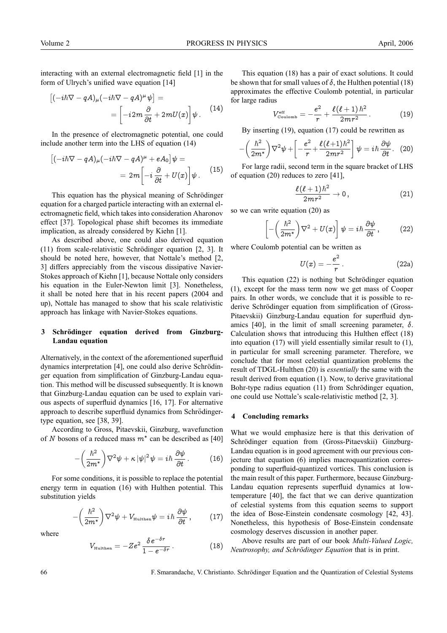interacting with an external electromagnetic field [1] in the form of Ulrych's unified wave equation [14]

$$
\left[(-i\hbar \nabla - qA)_{\mu}(-i\hbar \nabla - qA)^{\mu} \psi\right] =
$$
  
= 
$$
\left[-i2m \frac{\partial}{\partial t} + 2mU(x)\right] \psi.
$$
 (14)

In the presence of electromagnetic potential, one could include another term into the LHS of equation (14)

$$
\begin{aligned}\n\left[(-i\hbar\nabla - qA)_{\mu}(-i\hbar\nabla - qA)^{\mu} + eA_{0}\right]\psi &= \\
&= 2m\left[-i\frac{\partial}{\partial t} + U(x)\right]\psi.\n\end{aligned}
$$
(15)

This equation has the physical meaning of Schrödinger equation for a charged particle interacting with an external electromagnetic field, which takes into consideration Aharonov effect [37]. Topological phase shift becomes its immediate implication, as already considered by Kiehn [1].

As described above, one could also derived equation  $(11)$  from scale-relativistic Schrödinger equation  $[2, 3]$ . It should be noted here, however, that Nottale's method [2, 3] differs appreciably from the viscous dissipative Navier-Stokes approach of Kiehn [1], because Nottale only considers his equation in the Euler-Newton limit [3]. Nonetheless, it shall be noted here that in his recent papers (2004 and up), Nottale has managed to show that his scale relativistic approach has linkage with Navier-Stokes equations.

# **3 Schrodinger equation derived from Ginzburg- ¨ Landau equation**

Alternatively, in the context of the aforementioned superfluid dynamics interpretation [4], one could also derive Schrödinger equation from simplification of Ginzburg-Landau equation. This method will be discussed subsequently. It is known that Ginzburg-Landau equation can be used to explain various aspects of superfluid dynamics [16, 17]. For alternative approach to describe superfluid dynamics from Schrödingertype equation, see [38, 39].

According to Gross, Pitaevskii, Ginzburg, wavefunction of N bosons of a reduced mass  $m^*$  can be described as [40]

$$
-\left(\frac{\hbar^2}{2m^*}\right)\nabla^2\psi + \kappa |\psi|^2 \psi = i\hbar \frac{\partial \psi}{\partial t}.
$$
 (16)

For some conditions, it is possible to replace the potential energy term in equation (16) with Hulthen potential. This substitution yields

$$
-\left(\frac{\hbar^2}{2m^*}\right)\nabla^2\psi + V_{\text{Hulthen}}\psi = i\hbar\,\frac{\partial\psi}{\partial t}\,,\qquad (17)
$$

where

$$
V_{\text{Hulthen}} = -Ze^2 \frac{\delta e^{-\delta r}}{1 - e^{-\delta r}}.
$$
 (18)

This equation (18) has a pair of exact solutions. It could be shown that for small values of  $\delta$ , the Hulthen potential (18) approximates the effective Coulomb potential, in particular for large radius

$$
V_{\text{Coulomb}}^{\text{eff}} = -\frac{e^2}{r} + \frac{\ell(\ell+1)\hbar^2}{2mr^2} \,. \tag{19}
$$

By inserting (19), equation (17) could be rewritten as

$$
-\left(\frac{\hbar^2}{2m^*}\right)\nabla^2\psi + \left[-\frac{e^2}{r} + \frac{\ell(\ell+1)\hbar^2}{2mr^2}\right]\psi = i\hbar\frac{\partial\psi}{\partial t}.
$$
 (20)

For large radii, second term in the square bracket of LHS of equation (20) reduces to zero [41],

$$
\frac{\ell(\ell+1)\hbar^2}{2mr^2}\to 0\,,\qquad (21)
$$

so we can write equation (20) as

$$
\left[ -\left(\frac{\hbar^2}{2m^*}\right)\nabla^2 + U(x) \right] \psi = i\hbar \frac{\partial \psi}{\partial t}, \qquad (22)
$$

where Coulomb potential can be written as

$$
U(x) = -\frac{e^2}{r}.
$$
 (22a)

This equation (22) is nothing but Schrödinger equation (1), except for the mass term now we get mass of Cooper pairs. In other words, we conclude that it is possible to rederive Schrödinger equation from simplification of (Gross-Pitaevskii) Ginzburg-Landau equation for superfluid dynamics [40], in the limit of small screening parameter,  $\delta$ . Calculation shows that introducing this Hulthen effect (18) into equation (17) will yield essentially similar result to (1), in particular for small screening parameter. Therefore, we conclude that for most celestial quantization problems the result of TDGL-Hulthen (20) is *essentially* the same with the result derived from equation (1). Now, to derive gravitational Bohr-type radius equation (11) from Schrödinger equation, one could use Nottale's scale-relativistic method [2, 3].

### **4 Concluding remarks**

What we would emphasize here is that this derivation of Schrödinger equation from (Gross-Pitaevskii) Ginzburg-Landau equation is in good agreement with our previous conjecture that equation (6) implies macroquantization corresponding to superfluid-quantized vortices. This conclusion is the main result of this paper. Furthermore, because Ginzburg-Landau equation represents superfluid dynamics at lowtemperature [40], the fact that we can derive quantization of celestial systems from this equation seems to support the idea of Bose-Einstein condensate cosmology [42, 43]. Nonetheless, this hypothesis of Bose-Einstein condensate cosmology deserves discussion in another paper.

Above results are part of our book *Multi-Valued Logic, Neutrosophy, and Schrödinger Equation* that is in print.